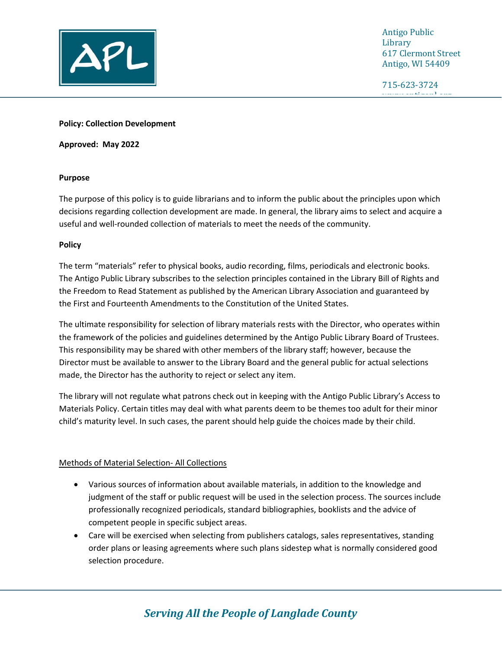

715-623-3724

www.antigopl.org

## **Policy: Collection Development**

**Approved: May 2022**

### **Purpose**

The purpose of this policy is to guide librarians and to inform the public about the principles upon which decisions regarding collection development are made. In general, the library aims to select and acquire a useful and well-rounded collection of materials to meet the needs of the community.

### **Policy**

The term "materials" refer to physical books, audio recording, films, periodicals and electronic books. The Antigo Public Library subscribes to the selection principles contained in the Library Bill of Rights and the Freedom to Read Statement as published by the American Library Association and guaranteed by the First and Fourteenth Amendments to the Constitution of the United States.

The ultimate responsibility for selection of library materials rests with the Director, who operates within the framework of the policies and guidelines determined by the Antigo Public Library Board of Trustees. This responsibility may be shared with other members of the library staff; however, because the Director must be available to answer to the Library Board and the general public for actual selections made, the Director has the authority to reject or select any item.

The library will not regulate what patrons check out in keeping with the Antigo Public Library's Access to Materials Policy. Certain titles may deal with what parents deem to be themes too adult for their minor child's maturity level. In such cases, the parent should help guide the choices made by their child.

### Methods of Material Selection- All Collections

- Various sources of information about available materials, in addition to the knowledge and judgment of the staff or public request will be used in the selection process. The sources include professionally recognized periodicals, standard bibliographies, booklists and the advice of competent people in specific subject areas.
- Care will be exercised when selecting from publishers catalogs, sales representatives, standing order plans or leasing agreements where such plans sidestep what is normally considered good selection procedure.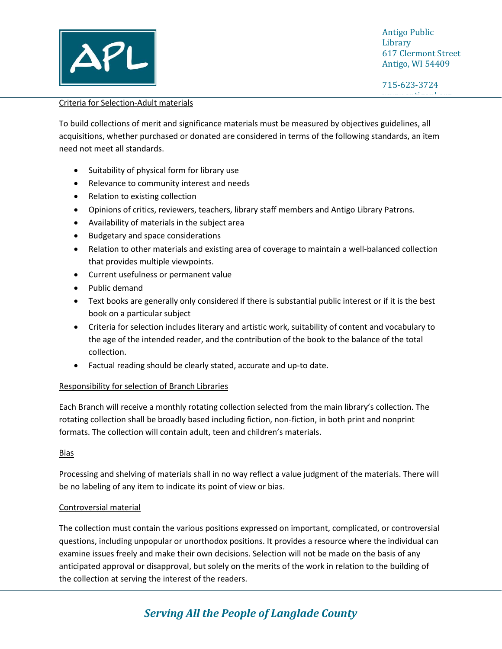

www.antigopl.org

## Criteria for Selection-Adult materials

To build collections of merit and significance materials must be measured by objectives guidelines, all acquisitions, whether purchased or donated are considered in terms of the following standards, an item need not meet all standards.

- Suitability of physical form for library use
- Relevance to community interest and needs
- Relation to existing collection
- Opinions of critics, reviewers, teachers, library staff members and Antigo Library Patrons.
- Availability of materials in the subject area
- Budgetary and space considerations
- Relation to other materials and existing area of coverage to maintain a well-balanced collection that provides multiple viewpoints.
- Current usefulness or permanent value
- Public demand
- Text books are generally only considered if there is substantial public interest or if it is the best book on a particular subject
- Criteria for selection includes literary and artistic work, suitability of content and vocabulary to the age of the intended reader, and the contribution of the book to the balance of the total collection.
- Factual reading should be clearly stated, accurate and up-to date.

### Responsibility for selection of Branch Libraries

Each Branch will receive a monthly rotating collection selected from the main library's collection. The rotating collection shall be broadly based including fiction, non-fiction, in both print and nonprint formats. The collection will contain adult, teen and children's materials.

### **Bias**

Processing and shelving of materials shall in no way reflect a value judgment of the materials. There will be no labeling of any item to indicate its point of view or bias.

### Controversial material

The collection must contain the various positions expressed on important, complicated, or controversial questions, including unpopular or unorthodox positions. It provides a resource where the individual can examine issues freely and make their own decisions. Selection will not be made on the basis of any anticipated approval or disapproval, but solely on the merits of the work in relation to the building of the collection at serving the interest of the readers.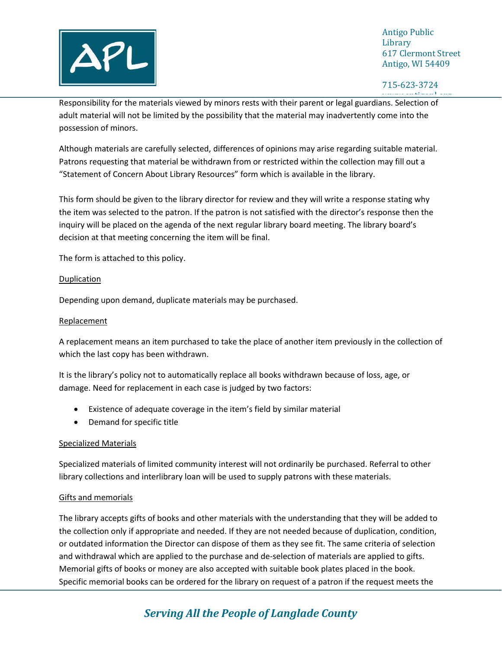

715-623-3724

ww.antigopl.org/<br>www.antigopl.org/ Responsibility for the materials viewed by minors rests with their parent or legal guardians. Selection of adult material will not be limited by the possibility that the material may inadvertently come into the possession of minors.

Although materials are carefully selected, differences of opinions may arise regarding suitable material. Patrons requesting that material be withdrawn from or restricted within the collection may fill out a "Statement of Concern About Library Resources" form which is available in the library.

This form should be given to the library director for review and they will write a response stating why the item was selected to the patron. If the patron is not satisfied with the director's response then the inquiry will be placed on the agenda of the next regular library board meeting. The library board's decision at that meeting concerning the item will be final.

The form is attached to this policy.

### **Duplication**

Depending upon demand, duplicate materials may be purchased.

### Replacement

A replacement means an item purchased to take the place of another item previously in the collection of which the last copy has been withdrawn.

It is the library's policy not to automatically replace all books withdrawn because of loss, age, or damage. Need for replacement in each case is judged by two factors:

- Existence of adequate coverage in the item's field by similar material
- Demand for specific title

### Specialized Materials

Specialized materials of limited community interest will not ordinarily be purchased. Referral to other library collections and interlibrary loan will be used to supply patrons with these materials.

### Gifts and memorials

The library accepts gifts of books and other materials with the understanding that they will be added to the collection only if appropriate and needed. If they are not needed because of duplication, condition, or outdated information the Director can dispose of them as they see fit. The same criteria of selection and withdrawal which are applied to the purchase and de-selection of materials are applied to gifts. Memorial gifts of books or money are also accepted with suitable book plates placed in the book. Specific memorial books can be ordered for the library on request of a patron if the request meets the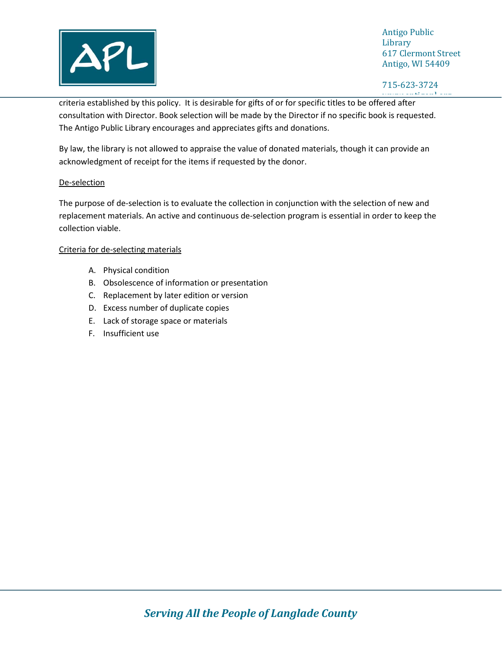

715-623-3724

ww.antigopl.org<br>www.antigopl.org criteria established by this policy. It is desirable for gifts of or for specific titles to be offered after consultation with Director. Book selection will be made by the Director if no specific book is requested. The Antigo Public Library encourages and appreciates gifts and donations.

By law, the library is not allowed to appraise the value of donated materials, though it can provide an acknowledgment of receipt for the items if requested by the donor.

### De-selection

The purpose of de-selection is to evaluate the collection in conjunction with the selection of new and replacement materials. An active and continuous de-selection program is essential in order to keep the collection viable.

### Criteria for de-selecting materials

- A. Physical condition
- B. Obsolescence of information or presentation
- C. Replacement by later edition or version
- D. Excess number of duplicate copies
- E. Lack of storage space or materials
- F. Insufficient use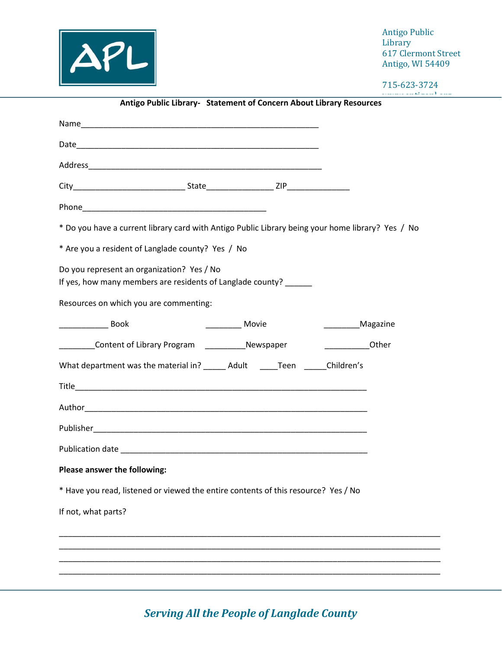

715-623-3724 www.antigopl.org

|                                                                                                                                                                                                                                | Antigo Public Library- Statement of Concern About Library Resources |                    |                       |  |
|--------------------------------------------------------------------------------------------------------------------------------------------------------------------------------------------------------------------------------|---------------------------------------------------------------------|--------------------|-----------------------|--|
| Name and the state of the state of the state of the state of the state of the state of the state of the state of the state of the state of the state of the state of the state of the state of the state of the state of the s |                                                                     |                    |                       |  |
| Date https://www.archive.com/www.archive.com/www.archive.com/www.archive.com/www                                                                                                                                               |                                                                     |                    |                       |  |
|                                                                                                                                                                                                                                |                                                                     |                    |                       |  |
|                                                                                                                                                                                                                                |                                                                     |                    |                       |  |
|                                                                                                                                                                                                                                |                                                                     |                    |                       |  |
| * Do you have a current library card with Antigo Public Library being your home library? Yes / No                                                                                                                              |                                                                     |                    |                       |  |
| * Are you a resident of Langlade county? Yes / No                                                                                                                                                                              |                                                                     |                    |                       |  |
| Do you represent an organization? Yes / No<br>If yes, how many members are residents of Langlade county?                                                                                                                       |                                                                     |                    |                       |  |
| Resources on which you are commenting:                                                                                                                                                                                         |                                                                     |                    |                       |  |
| <b>EXECUTE:</b> Book                                                                                                                                                                                                           |                                                                     | ____________ Movie | _____________Magazine |  |
| _________Content of Library Program _____________Newspaper                                                                                                                                                                     |                                                                     |                    | Other                 |  |
| What department was the material in? _______ Adult _______Teen _______Children's                                                                                                                                               |                                                                     |                    |                       |  |
|                                                                                                                                                                                                                                |                                                                     |                    |                       |  |
|                                                                                                                                                                                                                                |                                                                     |                    |                       |  |
|                                                                                                                                                                                                                                |                                                                     |                    |                       |  |
|                                                                                                                                                                                                                                |                                                                     |                    |                       |  |
| Please answer the following:                                                                                                                                                                                                   |                                                                     |                    |                       |  |
| * Have you read, listened or viewed the entire contents of this resource? Yes / No                                                                                                                                             |                                                                     |                    |                       |  |
| If not, what parts?                                                                                                                                                                                                            |                                                                     |                    |                       |  |
|                                                                                                                                                                                                                                |                                                                     |                    |                       |  |
|                                                                                                                                                                                                                                |                                                                     |                    |                       |  |
|                                                                                                                                                                                                                                |                                                                     |                    |                       |  |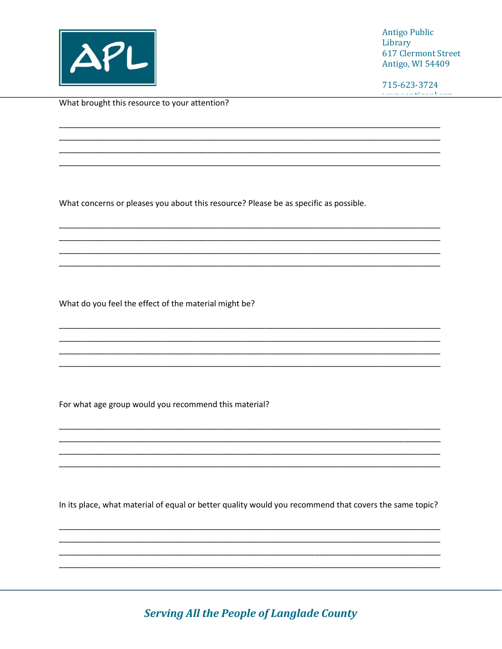

715-623-3724  $\frac{1}{\sqrt{2}}\left(\frac{1}{2}\right)^2\left(\frac{1}{2}\right)^2\left(\frac{1}{2}\right)^2\left(\frac{1}{2}\right)^2$ 

What brought this resource to your attention?

What concerns or pleases you about this resource? Please be as specific as possible.

What do you feel the effect of the material might be?

For what age group would you recommend this material?

In its place, what material of equal or better quality would you recommend that covers the same topic?